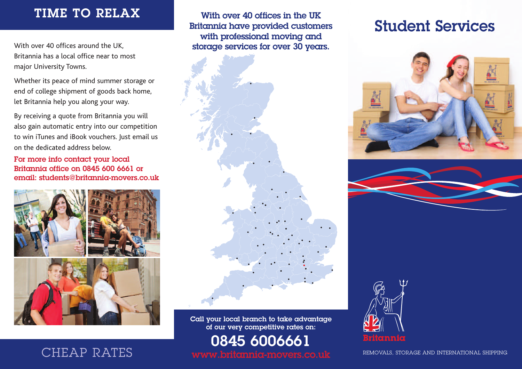### **TIME TO RELAX**

With over 40 offices around the UK, Britannia has a local office near to most major University Towns.

Whether its peace of mind summer storage or end of college shipment of goods back home, let Britannia help you along your way.

By receiving a quote from Britannia you will also gain automatic entry into our competition to win iTunes and iBook vouchers. Just email us on the dedicated address below.

**For more info contact your local Britannia office on 0845 600 6661 or email: students@britannia-movers.co.uk**



**With over 40 offices in the UK Britannia have provided customers with professional moving and storage services for over 30 years.**

**Call your local branch to take advantage of our very competitive rates on:**

**0845 6006661**

# **Student Services**







**www.britannia-movers.co.uk** REMOVALS, STORAGE AND INTERNATIONAL SHIPPING

### CHEAP RATES